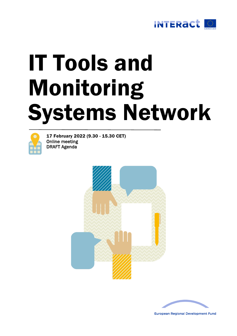

# IT Tools and Monitoring Systems Network



17 February 2022 (9.30 - 15.30 CET) Online meeting DRAFT Agenda





**European Regional Development Fund**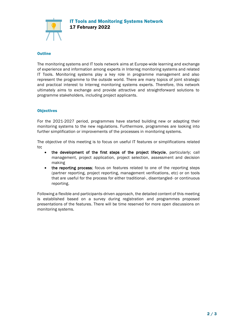IT Tools and Monitoring Systems Network 17 February 2022



# **Outline**

The monitoring systems and IT tools network aims at Europe-wide learning and exchange of experience and information among experts in Interreg monitoring systems and related IT Tools. Monitoring systems play a key role in programme management and also represent the programme to the outside world. There are many topics of joint strategic and practical interest to Interreg monitoring systems experts. Therefore, this network ultimately aims to exchange and provide attractive and straightforward solutions to programme stakeholders, including project applicants.

# **Objectives**

For the 2021-2027 period, programmes have started building new or adapting their monitoring systems to the new regulations. Furthermore, programmes are looking into further simplification or improvements of the processes in monitoring systems.

The objective of this meeting is to focus on useful IT features or simplifications related to:

- the development of the first steps of the project lifecycle, particularly; call management, project application, project selection, assessment and decision making
- the reporting process; focus on features related to one of the reporting steps (partner reporting, project reporting, management verifications, etc) or on tools that are useful for the process for either traditional-, disentangled- or continuous reporting.

Following a flexible and participants-driven approach, the detailed content of this meeting is established based on a survey during registration and programmes proposed presentations of the features. There will be time reserved for more open discussions on monitoring systems.